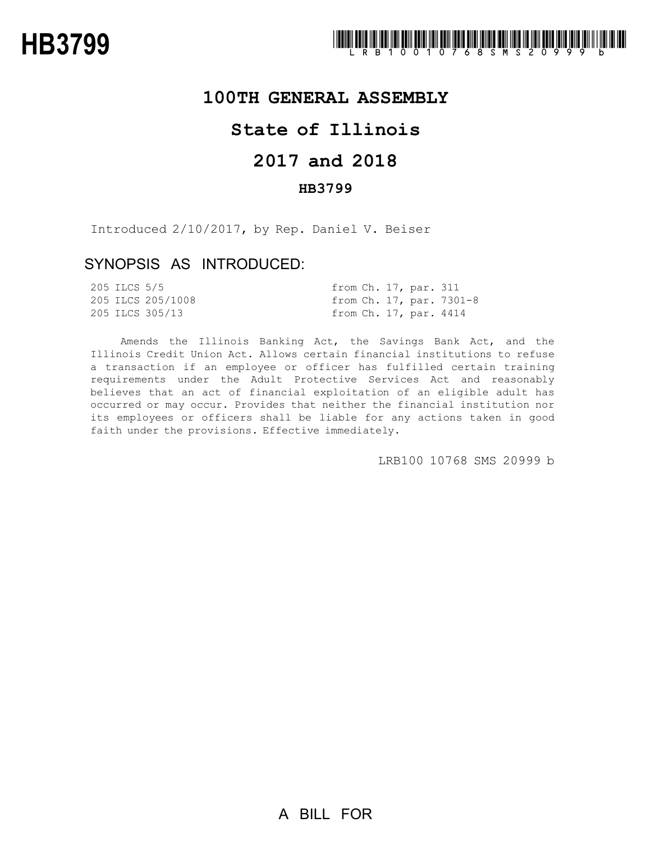## **100TH GENERAL ASSEMBLY**

# **State of Illinois**

# **2017 and 2018**

### **HB3799**

Introduced 2/10/2017, by Rep. Daniel V. Beiser

## SYNOPSIS AS INTRODUCED:

| 205 ILCS 5/5 |                   |  | from Ch. 17, par. 311  |                          |
|--------------|-------------------|--|------------------------|--------------------------|
|              | 205 ILCS 205/1008 |  |                        | from Ch. 17, par. 7301-8 |
|              | 205 ILCS 305/13   |  | from Ch. 17, par. 4414 |                          |

Amends the Illinois Banking Act, the Savings Bank Act, and the Illinois Credit Union Act. Allows certain financial institutions to refuse a transaction if an employee or officer has fulfilled certain training requirements under the Adult Protective Services Act and reasonably believes that an act of financial exploitation of an eligible adult has occurred or may occur. Provides that neither the financial institution nor its employees or officers shall be liable for any actions taken in good faith under the provisions. Effective immediately.

LRB100 10768 SMS 20999 b

A BILL FOR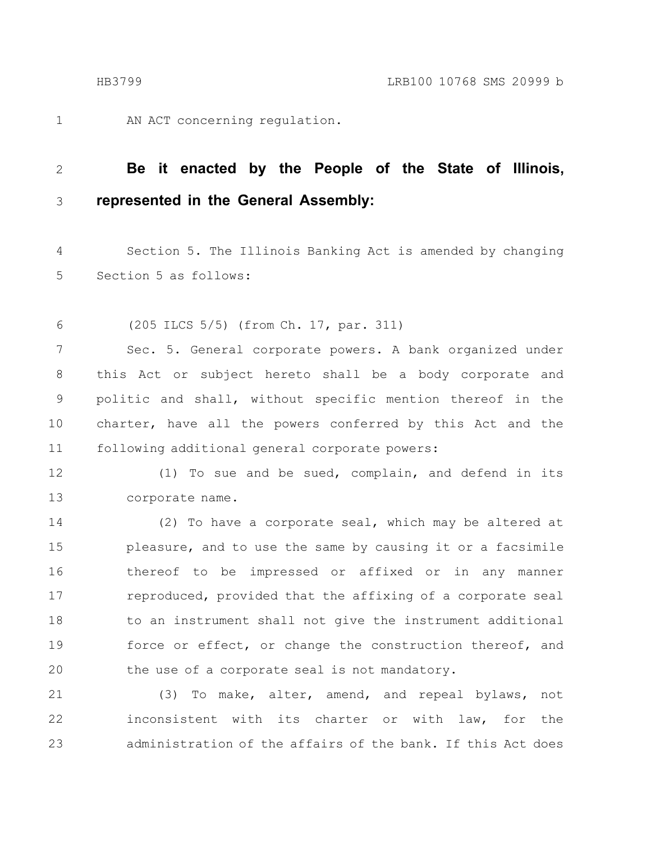AN ACT concerning regulation.

#### **Be it enacted by the People of the State of Illinois, represented in the General Assembly:** 2 3

Section 5. The Illinois Banking Act is amended by changing Section 5 as follows: 4 5

(205 ILCS 5/5) (from Ch. 17, par. 311) 6

Sec. 5. General corporate powers. A bank organized under this Act or subject hereto shall be a body corporate and politic and shall, without specific mention thereof in the charter, have all the powers conferred by this Act and the following additional general corporate powers: 7 8 9 10 11

(1) To sue and be sued, complain, and defend in its corporate name. 12 13

(2) To have a corporate seal, which may be altered at pleasure, and to use the same by causing it or a facsimile thereof to be impressed or affixed or in any manner reproduced, provided that the affixing of a corporate seal to an instrument shall not give the instrument additional force or effect, or change the construction thereof, and the use of a corporate seal is not mandatory. 14 15 16 17 18 19 20

(3) To make, alter, amend, and repeal bylaws, not inconsistent with its charter or with law, for the administration of the affairs of the bank. If this Act does 21 22 23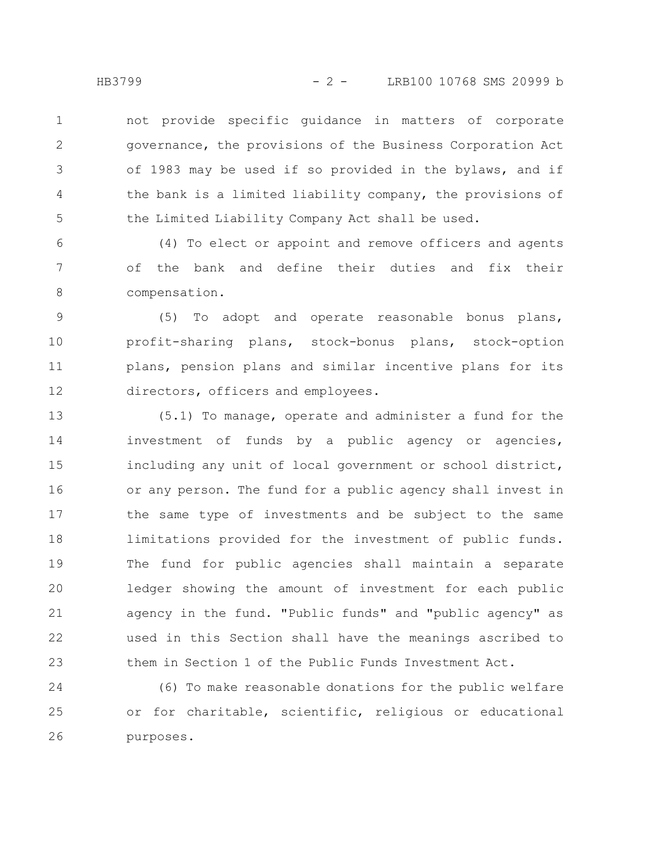HB3799 - 2 - LRB100 10768 SMS 20999 b

not provide specific guidance in matters of corporate governance, the provisions of the Business Corporation Act of 1983 may be used if so provided in the bylaws, and if the bank is a limited liability company, the provisions of the Limited Liability Company Act shall be used. 1 2 3 4 5

(4) To elect or appoint and remove officers and agents of the bank and define their duties and fix their compensation. 6 7 8

(5) To adopt and operate reasonable bonus plans, profit-sharing plans, stock-bonus plans, stock-option plans, pension plans and similar incentive plans for its directors, officers and employees. 9 10 11 12

(5.1) To manage, operate and administer a fund for the investment of funds by a public agency or agencies, including any unit of local government or school district, or any person. The fund for a public agency shall invest in the same type of investments and be subject to the same limitations provided for the investment of public funds. The fund for public agencies shall maintain a separate ledger showing the amount of investment for each public agency in the fund. "Public funds" and "public agency" as used in this Section shall have the meanings ascribed to them in Section 1 of the Public Funds Investment Act. 13 14 15 16 17 18 19 20 21 22 23

(6) To make reasonable donations for the public welfare or for charitable, scientific, religious or educational purposes. 24 25 26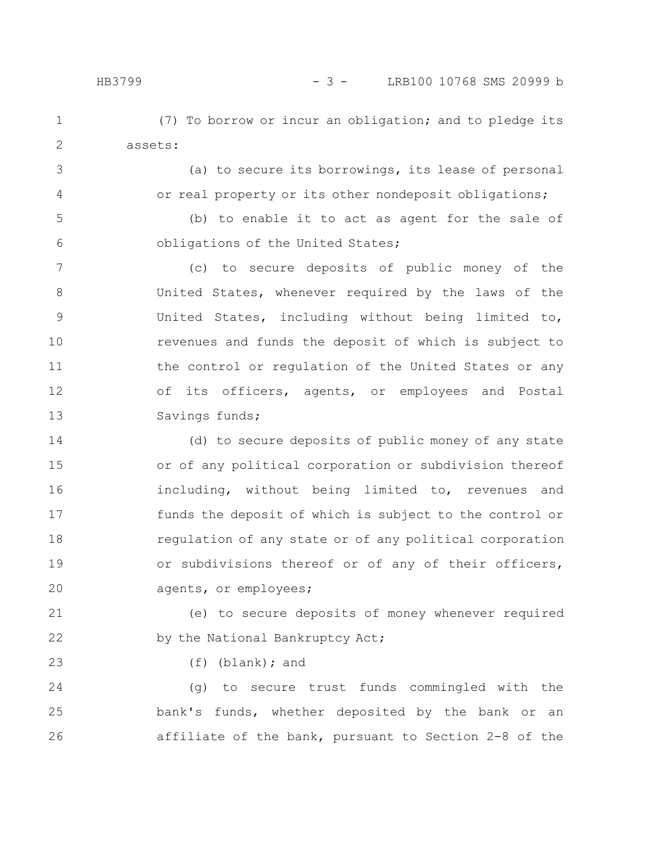(7) To borrow or incur an obligation; and to pledge its assets: 1 2

3

5

6

23

4

(a) to secure its borrowings, its lease of personal or real property or its other nondeposit obligations;

(b) to enable it to act as agent for the sale of obligations of the United States;

(c) to secure deposits of public money of the United States, whenever required by the laws of the United States, including without being limited to, revenues and funds the deposit of which is subject to the control or regulation of the United States or any of its officers, agents, or employees and Postal Savings funds; 7 8 9 10 11 12 13

(d) to secure deposits of public money of any state or of any political corporation or subdivision thereof including, without being limited to, revenues and funds the deposit of which is subject to the control or regulation of any state or of any political corporation or subdivisions thereof or of any of their officers, agents, or employees; 14 15 16 17 18 19 20

(e) to secure deposits of money whenever required by the National Bankruptcy Act; 21 22

(f) (blank); and

(g) to secure trust funds commingled with the bank's funds, whether deposited by the bank or an affiliate of the bank, pursuant to Section 2-8 of the 24 25 26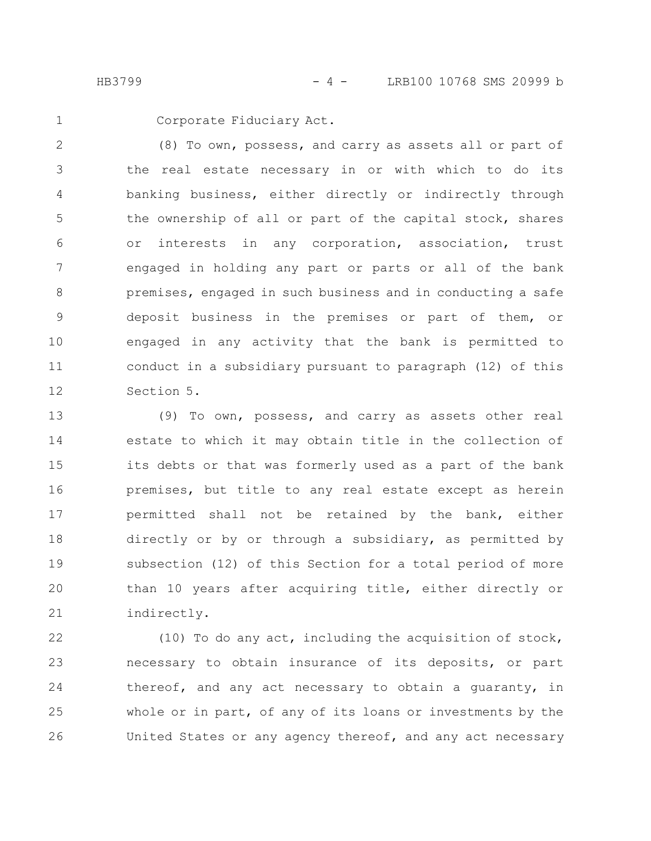HB3799 - 4 - LRB100 10768 SMS 20999 b

1

Corporate Fiduciary Act.

(8) To own, possess, and carry as assets all or part of the real estate necessary in or with which to do its banking business, either directly or indirectly through the ownership of all or part of the capital stock, shares or interests in any corporation, association, trust engaged in holding any part or parts or all of the bank premises, engaged in such business and in conducting a safe deposit business in the premises or part of them, or engaged in any activity that the bank is permitted to conduct in a subsidiary pursuant to paragraph (12) of this Section 5. 2 3 4 5 6 7 8 9 10 11 12

(9) To own, possess, and carry as assets other real estate to which it may obtain title in the collection of its debts or that was formerly used as a part of the bank premises, but title to any real estate except as herein permitted shall not be retained by the bank, either directly or by or through a subsidiary, as permitted by subsection (12) of this Section for a total period of more than 10 years after acquiring title, either directly or indirectly. 13 14 15 16 17 18 19 20 21

(10) To do any act, including the acquisition of stock, necessary to obtain insurance of its deposits, or part thereof, and any act necessary to obtain a guaranty, in whole or in part, of any of its loans or investments by the United States or any agency thereof, and any act necessary 22 23 24 25 26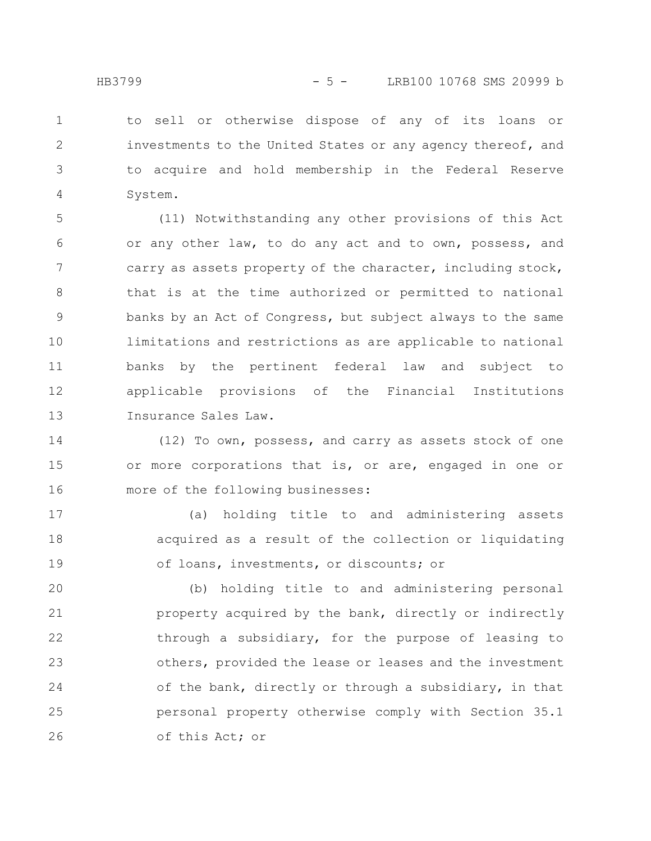to sell or otherwise dispose of any of its loans or investments to the United States or any agency thereof, and to acquire and hold membership in the Federal Reserve System. 1 2 3 4

(11) Notwithstanding any other provisions of this Act or any other law, to do any act and to own, possess, and carry as assets property of the character, including stock, that is at the time authorized or permitted to national banks by an Act of Congress, but subject always to the same limitations and restrictions as are applicable to national banks by the pertinent federal law and subject to applicable provisions of the Financial Institutions Insurance Sales Law. 5 6 7 8 9 10 11 12 13

(12) To own, possess, and carry as assets stock of one or more corporations that is, or are, engaged in one or more of the following businesses: 14 15 16

(a) holding title to and administering assets acquired as a result of the collection or liquidating of loans, investments, or discounts; or 17 18 19

(b) holding title to and administering personal property acquired by the bank, directly or indirectly through a subsidiary, for the purpose of leasing to others, provided the lease or leases and the investment of the bank, directly or through a subsidiary, in that personal property otherwise comply with Section 35.1 of this Act; or 20 21 22 23 24 25 26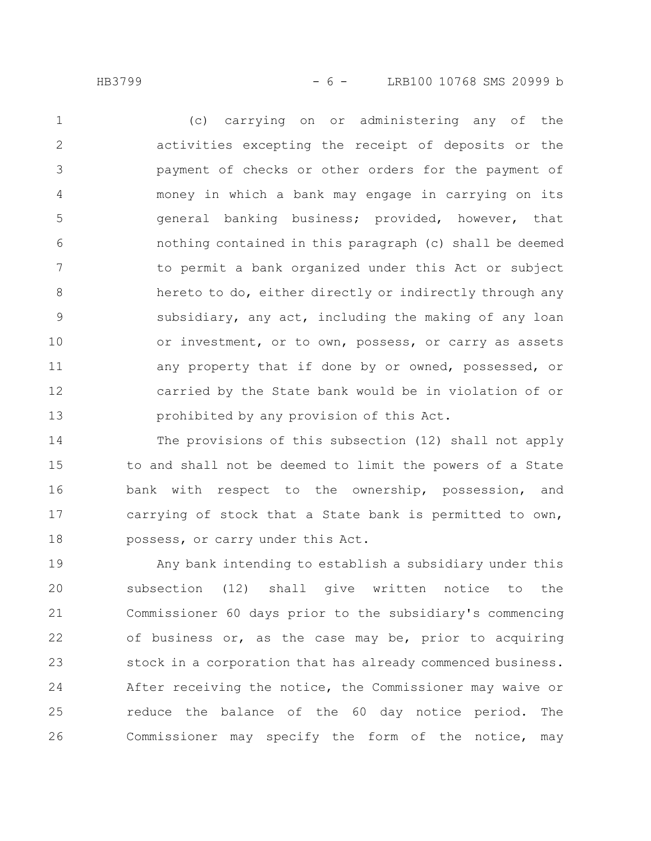HB3799 - 6 - LRB100 10768 SMS 20999 b

(c) carrying on or administering any of the activities excepting the receipt of deposits or the payment of checks or other orders for the payment of money in which a bank may engage in carrying on its general banking business; provided, however, that nothing contained in this paragraph (c) shall be deemed to permit a bank organized under this Act or subject hereto to do, either directly or indirectly through any subsidiary, any act, including the making of any loan or investment, or to own, possess, or carry as assets any property that if done by or owned, possessed, or carried by the State bank would be in violation of or prohibited by any provision of this Act. 1 2 3 4 5 6 7 8 9 10 11 12 13

The provisions of this subsection (12) shall not apply to and shall not be deemed to limit the powers of a State bank with respect to the ownership, possession, and carrying of stock that a State bank is permitted to own, possess, or carry under this Act. 14 15 16 17 18

Any bank intending to establish a subsidiary under this subsection (12) shall give written notice to the Commissioner 60 days prior to the subsidiary's commencing of business or, as the case may be, prior to acquiring stock in a corporation that has already commenced business. After receiving the notice, the Commissioner may waive or reduce the balance of the 60 day notice period. The Commissioner may specify the form of the notice, may 19 20 21 22 23 24 25 26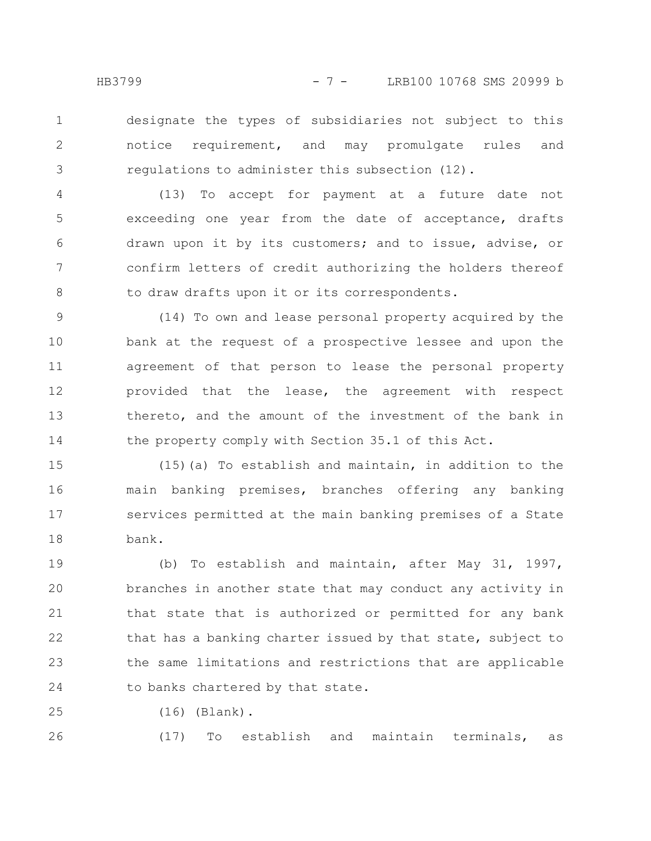designate the types of subsidiaries not subject to this notice requirement, and may promulgate rules and regulations to administer this subsection (12). 1 2 3

(13) To accept for payment at a future date not exceeding one year from the date of acceptance, drafts drawn upon it by its customers; and to issue, advise, or confirm letters of credit authorizing the holders thereof to draw drafts upon it or its correspondents. 4 5 6 7 8

(14) To own and lease personal property acquired by the bank at the request of a prospective lessee and upon the agreement of that person to lease the personal property provided that the lease, the agreement with respect thereto, and the amount of the investment of the bank in the property comply with Section 35.1 of this Act. 9 10 11 12 13 14

 $(15)$  (a) To establish and maintain, in addition to the main banking premises, branches offering any banking services permitted at the main banking premises of a State bank. 15 16 17 18

(b) To establish and maintain, after May 31, 1997, branches in another state that may conduct any activity in that state that is authorized or permitted for any bank that has a banking charter issued by that state, subject to the same limitations and restrictions that are applicable to banks chartered by that state. 19 20 21 22 23 24

(16) (Blank). 25

26

(17) To establish and maintain terminals, as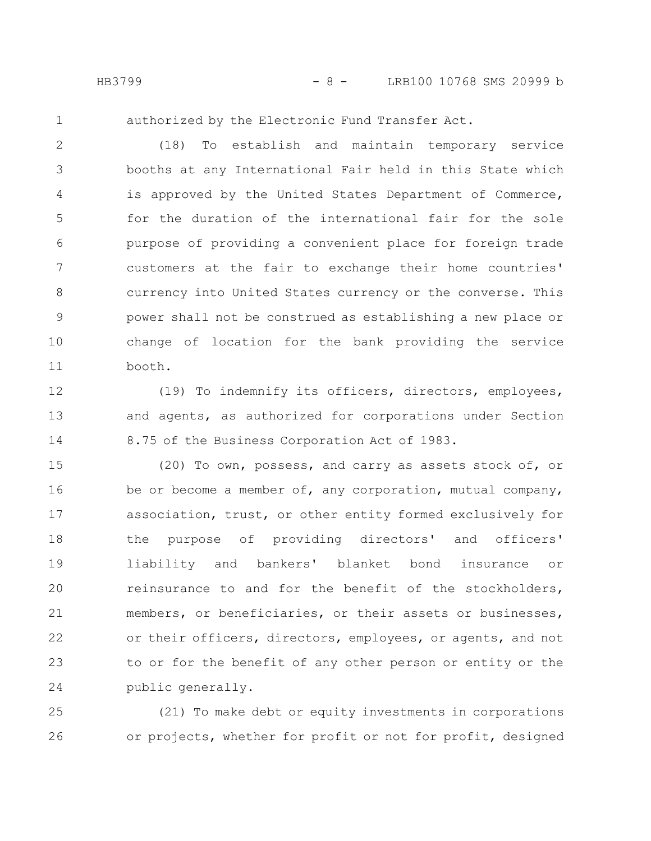HB3799 - 8 - LRB100 10768 SMS 20999 b

1

authorized by the Electronic Fund Transfer Act.

(18) To establish and maintain temporary service booths at any International Fair held in this State which is approved by the United States Department of Commerce, for the duration of the international fair for the sole purpose of providing a convenient place for foreign trade customers at the fair to exchange their home countries' currency into United States currency or the converse. This power shall not be construed as establishing a new place or change of location for the bank providing the service booth. 2 3 4 5 6 7 8 9 10 11

(19) To indemnify its officers, directors, employees, and agents, as authorized for corporations under Section 8.75 of the Business Corporation Act of 1983. 12 13 14

(20) To own, possess, and carry as assets stock of, or be or become a member of, any corporation, mutual company, association, trust, or other entity formed exclusively for the purpose of providing directors' and officers' liability and bankers' blanket bond insurance or reinsurance to and for the benefit of the stockholders, members, or beneficiaries, or their assets or businesses, or their officers, directors, employees, or agents, and not to or for the benefit of any other person or entity or the public generally. 15 16 17 18 19 20 21 22 23 24

(21) To make debt or equity investments in corporations or projects, whether for profit or not for profit, designed 25 26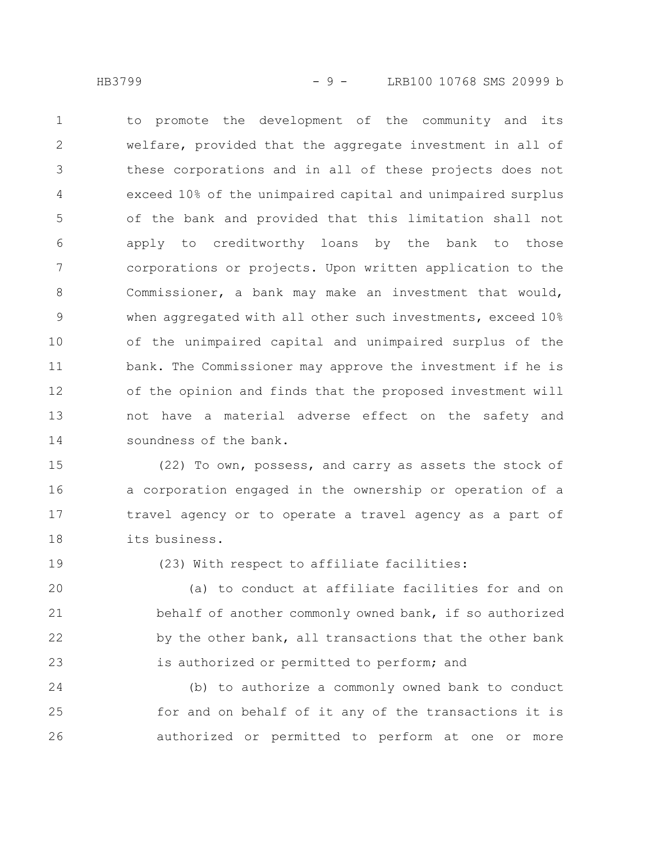to promote the development of the community and its welfare, provided that the aggregate investment in all of these corporations and in all of these projects does not exceed 10% of the unimpaired capital and unimpaired surplus of the bank and provided that this limitation shall not apply to creditworthy loans by the bank to those corporations or projects. Upon written application to the Commissioner, a bank may make an investment that would, when aggregated with all other such investments, exceed 10% of the unimpaired capital and unimpaired surplus of the bank. The Commissioner may approve the investment if he is of the opinion and finds that the proposed investment will not have a material adverse effect on the safety and soundness of the bank. 1 2 3 4 5 6 7 8 9 10 11 12 13 14

(22) To own, possess, and carry as assets the stock of a corporation engaged in the ownership or operation of a travel agency or to operate a travel agency as a part of its business. 15 16 17 18

19

(23) With respect to affiliate facilities:

(a) to conduct at affiliate facilities for and on behalf of another commonly owned bank, if so authorized by the other bank, all transactions that the other bank is authorized or permitted to perform; and 20 21 22 23

(b) to authorize a commonly owned bank to conduct for and on behalf of it any of the transactions it is authorized or permitted to perform at one or more 24 25 26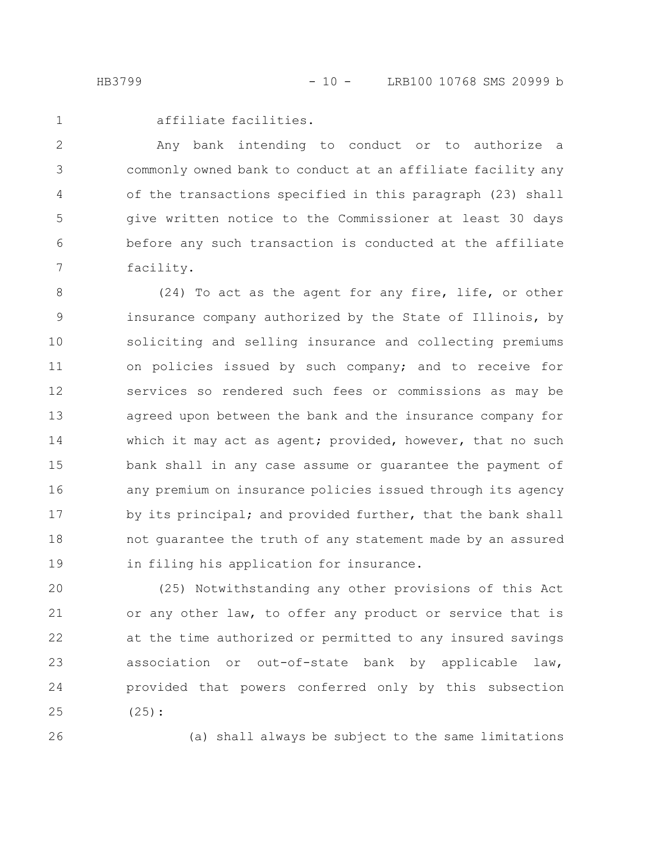affiliate facilities.

Any bank intending to conduct or to authorize a commonly owned bank to conduct at an affiliate facility any of the transactions specified in this paragraph (23) shall give written notice to the Commissioner at least 30 days before any such transaction is conducted at the affiliate facility. 2 3 4 5 6 7

(24) To act as the agent for any fire, life, or other insurance company authorized by the State of Illinois, by soliciting and selling insurance and collecting premiums on policies issued by such company; and to receive for services so rendered such fees or commissions as may be agreed upon between the bank and the insurance company for which it may act as agent; provided, however, that no such bank shall in any case assume or guarantee the payment of any premium on insurance policies issued through its agency by its principal; and provided further, that the bank shall not guarantee the truth of any statement made by an assured in filing his application for insurance. 8 9 10 11 12 13 14 15 16 17 18 19

(25) Notwithstanding any other provisions of this Act or any other law, to offer any product or service that is at the time authorized or permitted to any insured savings association or out-of-state bank by applicable law, provided that powers conferred only by this subsection (25): 20 21 22 23 24 25

26

(a) shall always be subject to the same limitations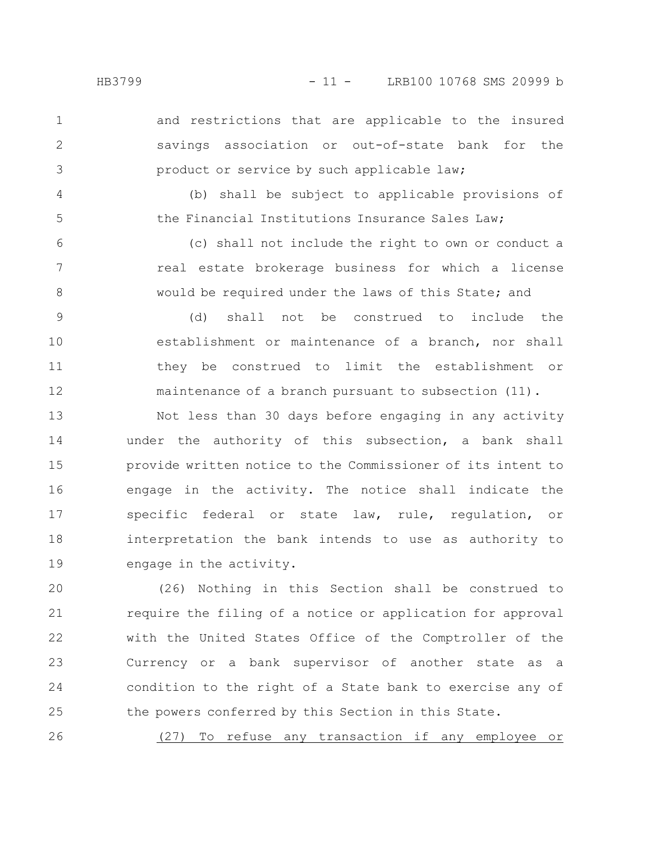2

3

4

5

and restrictions that are applicable to the insured savings association or out-of-state bank for the product or service by such applicable law;

(b) shall be subject to applicable provisions of the Financial Institutions Insurance Sales Law;

(c) shall not include the right to own or conduct a real estate brokerage business for which a license would be required under the laws of this State; and 6 7 8

(d) shall not be construed to include the establishment or maintenance of a branch, nor shall they be construed to limit the establishment or maintenance of a branch pursuant to subsection (11). 9 10 11 12

Not less than 30 days before engaging in any activity under the authority of this subsection, a bank shall provide written notice to the Commissioner of its intent to engage in the activity. The notice shall indicate the specific federal or state law, rule, regulation, or interpretation the bank intends to use as authority to engage in the activity. 13 14 15 16 17 18 19

(26) Nothing in this Section shall be construed to require the filing of a notice or application for approval with the United States Office of the Comptroller of the Currency or a bank supervisor of another state as a condition to the right of a State bank to exercise any of the powers conferred by this Section in this State. 20 21 22 23 24 25

(27) To refuse any transaction if any employee or 26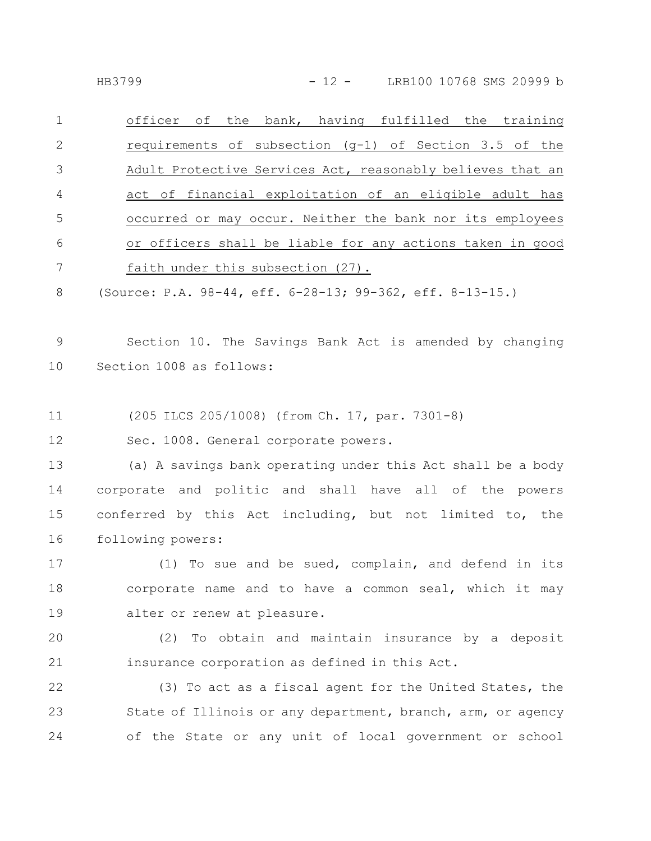|                | officer of the bank, having fulfilled the training         |
|----------------|------------------------------------------------------------|
|                | requirements of subsection $(q-1)$ of Section 3.5 of the   |
| -3             | Adult Protective Services Act, reasonably believes that an |
| $\overline{4}$ | act of financial exploitation of an eligible adult has     |
| .5             | occurred or may occur. Neither the bank nor its employees  |
| 6              | or officers shall be liable for any actions taken in good  |
|                | faith under this subsection (27).                          |
|                |                                                            |

(Source: P.A. 98-44, eff. 6-28-13; 99-362, eff. 8-13-15.) 8

Section 10. The Savings Bank Act is amended by changing Section 1008 as follows: 9 10

(205 ILCS 205/1008) (from Ch. 17, par. 7301-8) 11

Sec. 1008. General corporate powers. 12

(a) A savings bank operating under this Act shall be a body corporate and politic and shall have all of the powers conferred by this Act including, but not limited to, the following powers: 13 14 15 16

(1) To sue and be sued, complain, and defend in its corporate name and to have a common seal, which it may alter or renew at pleasure. 17 18 19

(2) To obtain and maintain insurance by a deposit insurance corporation as defined in this Act. 20 21

(3) To act as a fiscal agent for the United States, the State of Illinois or any department, branch, arm, or agency of the State or any unit of local government or school 22 23 24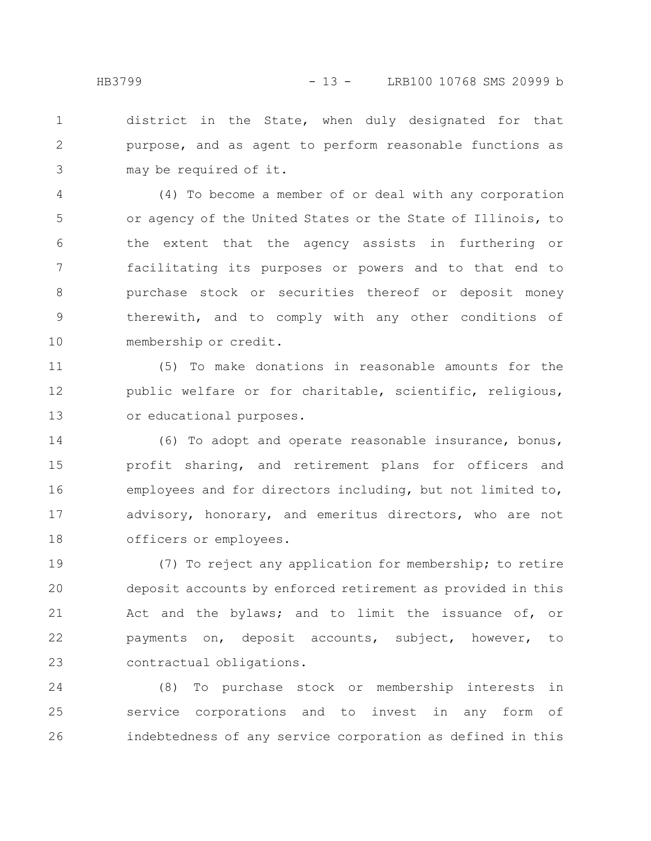district in the State, when duly designated for that purpose, and as agent to perform reasonable functions as may be required of it. 1 2 3

(4) To become a member of or deal with any corporation or agency of the United States or the State of Illinois, to the extent that the agency assists in furthering or facilitating its purposes or powers and to that end to purchase stock or securities thereof or deposit money therewith, and to comply with any other conditions of membership or credit. 4 5 6 7 8 9 10

(5) To make donations in reasonable amounts for the public welfare or for charitable, scientific, religious, or educational purposes. 11 12 13

(6) To adopt and operate reasonable insurance, bonus, profit sharing, and retirement plans for officers and employees and for directors including, but not limited to, advisory, honorary, and emeritus directors, who are not officers or employees. 14 15 16 17 18

(7) To reject any application for membership; to retire deposit accounts by enforced retirement as provided in this Act and the bylaws; and to limit the issuance of, or payments on, deposit accounts, subject, however, to contractual obligations. 19 20 21 22 23

(8) To purchase stock or membership interests in service corporations and to invest in any form of indebtedness of any service corporation as defined in this 24 25 26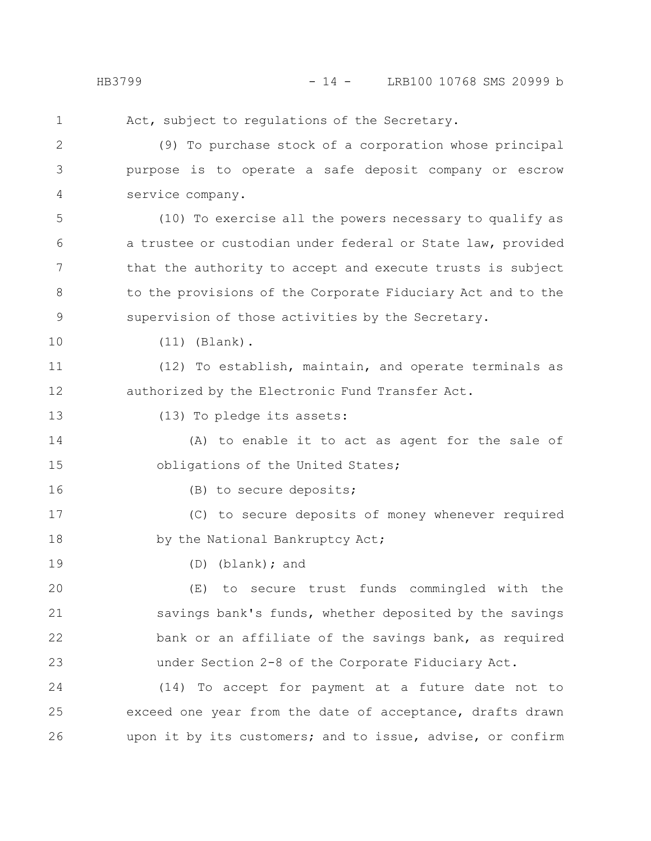Act, subject to regulations of the Secretary.

(9) To purchase stock of a corporation whose principal purpose is to operate a safe deposit company or escrow service company. 2 3 4

(10) To exercise all the powers necessary to qualify as a trustee or custodian under federal or State law, provided that the authority to accept and execute trusts is subject to the provisions of the Corporate Fiduciary Act and to the supervision of those activities by the Secretary. 5 6 7 8 9

10

16

19

(11) (Blank).

(12) To establish, maintain, and operate terminals as authorized by the Electronic Fund Transfer Act. 11 12

(13) To pledge its assets: 13

(A) to enable it to act as agent for the sale of obligations of the United States; 14 15

(B) to secure deposits;

(C) to secure deposits of money whenever required by the National Bankruptcy Act; 17 18

(D) (blank); and

(E) to secure trust funds commingled with the savings bank's funds, whether deposited by the savings bank or an affiliate of the savings bank, as required under Section 2-8 of the Corporate Fiduciary Act. 20 21 22 23

(14) To accept for payment at a future date not to exceed one year from the date of acceptance, drafts drawn upon it by its customers; and to issue, advise, or confirm 24 25 26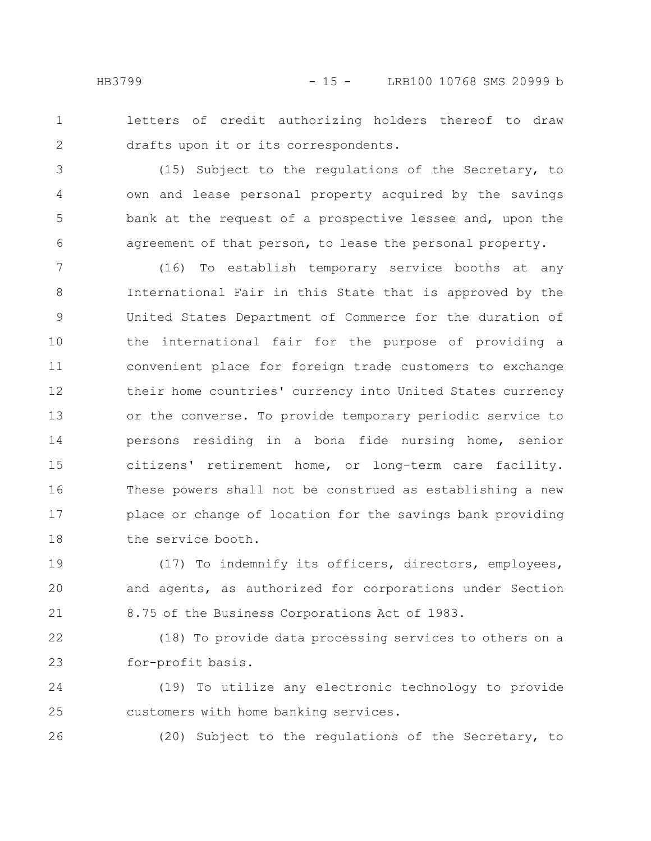2

letters of credit authorizing holders thereof to draw drafts upon it or its correspondents.

(15) Subject to the regulations of the Secretary, to own and lease personal property acquired by the savings bank at the request of a prospective lessee and, upon the agreement of that person, to lease the personal property. 3 4 5 6

(16) To establish temporary service booths at any International Fair in this State that is approved by the United States Department of Commerce for the duration of the international fair for the purpose of providing a convenient place for foreign trade customers to exchange their home countries' currency into United States currency or the converse. To provide temporary periodic service to persons residing in a bona fide nursing home, senior citizens' retirement home, or long-term care facility. These powers shall not be construed as establishing a new place or change of location for the savings bank providing the service booth. 7 8 9 10 11 12 13 14 15 16 17 18

(17) To indemnify its officers, directors, employees, and agents, as authorized for corporations under Section 8.75 of the Business Corporations Act of 1983. 19 20 21

(18) To provide data processing services to others on a for-profit basis. 22 23

(19) To utilize any electronic technology to provide customers with home banking services. 24 25

26

(20) Subject to the regulations of the Secretary, to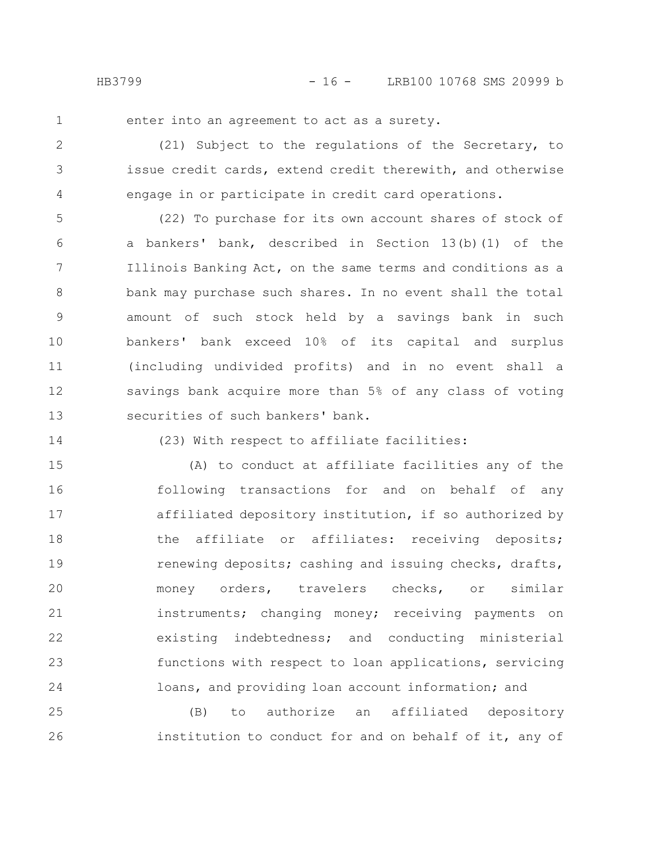enter into an agreement to act as a surety.

(21) Subject to the regulations of the Secretary, to issue credit cards, extend credit therewith, and otherwise engage in or participate in credit card operations. 2 3 4

(22) To purchase for its own account shares of stock of a bankers' bank, described in Section 13(b)(1) of the Illinois Banking Act, on the same terms and conditions as a bank may purchase such shares. In no event shall the total amount of such stock held by a savings bank in such bankers' bank exceed 10% of its capital and surplus (including undivided profits) and in no event shall a savings bank acquire more than 5% of any class of voting securities of such bankers' bank. 5 6 7 8 9 10 11 12 13

14

(23) With respect to affiliate facilities:

(A) to conduct at affiliate facilities any of the following transactions for and on behalf of any affiliated depository institution, if so authorized by the affiliate or affiliates: receiving deposits; renewing deposits; cashing and issuing checks, drafts, money orders, travelers checks, or similar instruments; changing money; receiving payments on existing indebtedness; and conducting ministerial functions with respect to loan applications, servicing loans, and providing loan account information; and 15 16 17 18 19 20 21 22 23 24

(B) to authorize an affiliated depository institution to conduct for and on behalf of it, any of 25 26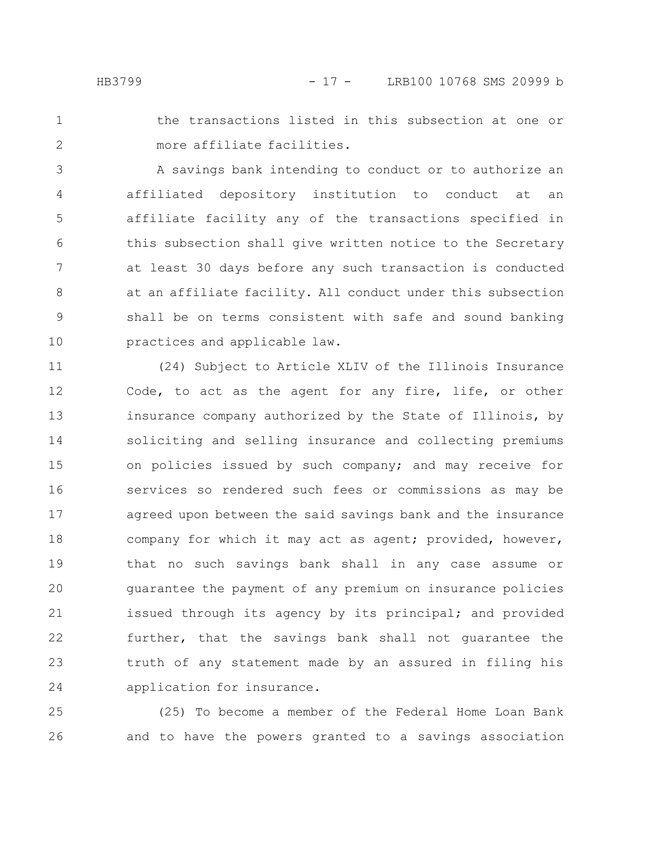- 
- 1 2

the transactions listed in this subsection at one or more affiliate facilities.

A savings bank intending to conduct or to authorize an affiliated depository institution to conduct at an affiliate facility any of the transactions specified in this subsection shall give written notice to the Secretary at least 30 days before any such transaction is conducted at an affiliate facility. All conduct under this subsection shall be on terms consistent with safe and sound banking practices and applicable law. 3 4 5 6 7 8 9 10

(24) Subject to Article XLIV of the Illinois Insurance Code, to act as the agent for any fire, life, or other insurance company authorized by the State of Illinois, by soliciting and selling insurance and collecting premiums on policies issued by such company; and may receive for services so rendered such fees or commissions as may be agreed upon between the said savings bank and the insurance company for which it may act as agent; provided, however, that no such savings bank shall in any case assume or guarantee the payment of any premium on insurance policies issued through its agency by its principal; and provided further, that the savings bank shall not guarantee the truth of any statement made by an assured in filing his application for insurance. 11 12 13 14 15 16 17 18 19 20 21 22 23 24

(25) To become a member of the Federal Home Loan Bank and to have the powers granted to a savings association 25 26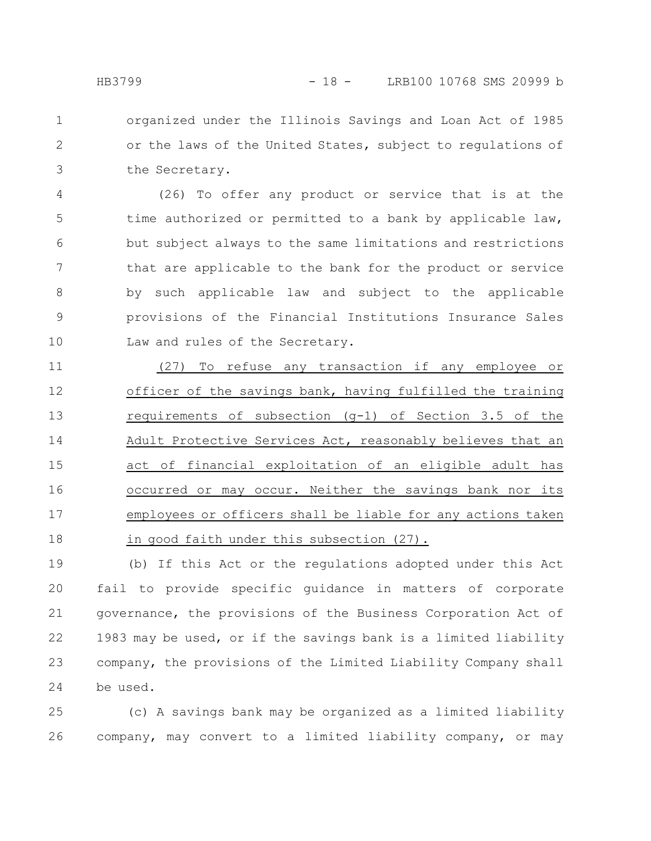organized under the Illinois Savings and Loan Act of 1985 or the laws of the United States, subject to regulations of the Secretary. 1 2 3

(26) To offer any product or service that is at the time authorized or permitted to a bank by applicable law, but subject always to the same limitations and restrictions that are applicable to the bank for the product or service by such applicable law and subject to the applicable provisions of the Financial Institutions Insurance Sales Law and rules of the Secretary. 4 5 6 7 8 9 10

(27) To refuse any transaction if any employee or officer of the savings bank, having fulfilled the training requirements of subsection (g-1) of Section 3.5 of the Adult Protective Services Act, reasonably believes that an act of financial exploitation of an eligible adult has occurred or may occur. Neither the savings bank nor its employees or officers shall be liable for any actions taken in good faith under this subsection (27). 11 12 13 14 15 16 17 18

(b) If this Act or the regulations adopted under this Act fail to provide specific guidance in matters of corporate governance, the provisions of the Business Corporation Act of 1983 may be used, or if the savings bank is a limited liability company, the provisions of the Limited Liability Company shall be used. 19 20 21 22 23 24

(c) A savings bank may be organized as a limited liability company, may convert to a limited liability company, or may 25 26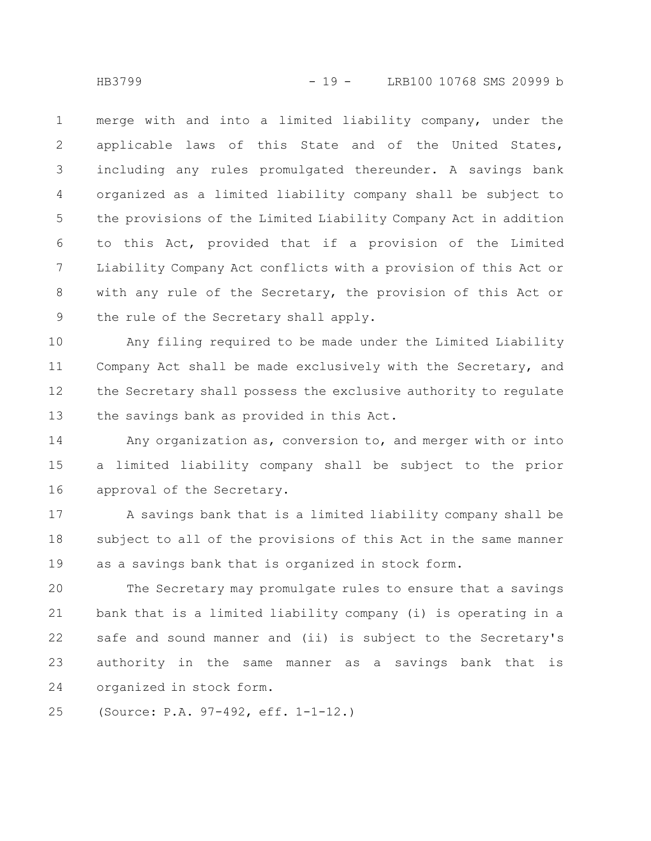merge with and into a limited liability company, under the applicable laws of this State and of the United States, including any rules promulgated thereunder. A savings bank organized as a limited liability company shall be subject to the provisions of the Limited Liability Company Act in addition to this Act, provided that if a provision of the Limited Liability Company Act conflicts with a provision of this Act or with any rule of the Secretary, the provision of this Act or the rule of the Secretary shall apply. 1 2 3 4 5 6 7 8 9

Any filing required to be made under the Limited Liability Company Act shall be made exclusively with the Secretary, and the Secretary shall possess the exclusive authority to regulate the savings bank as provided in this Act. 10 11 12 13

Any organization as, conversion to, and merger with or into a limited liability company shall be subject to the prior approval of the Secretary. 14 15 16

A savings bank that is a limited liability company shall be subject to all of the provisions of this Act in the same manner as a savings bank that is organized in stock form. 17 18 19

The Secretary may promulgate rules to ensure that a savings bank that is a limited liability company (i) is operating in a safe and sound manner and (ii) is subject to the Secretary's authority in the same manner as a savings bank that is organized in stock form. 20 21 22 23 24

(Source: P.A. 97-492, eff. 1-1-12.) 25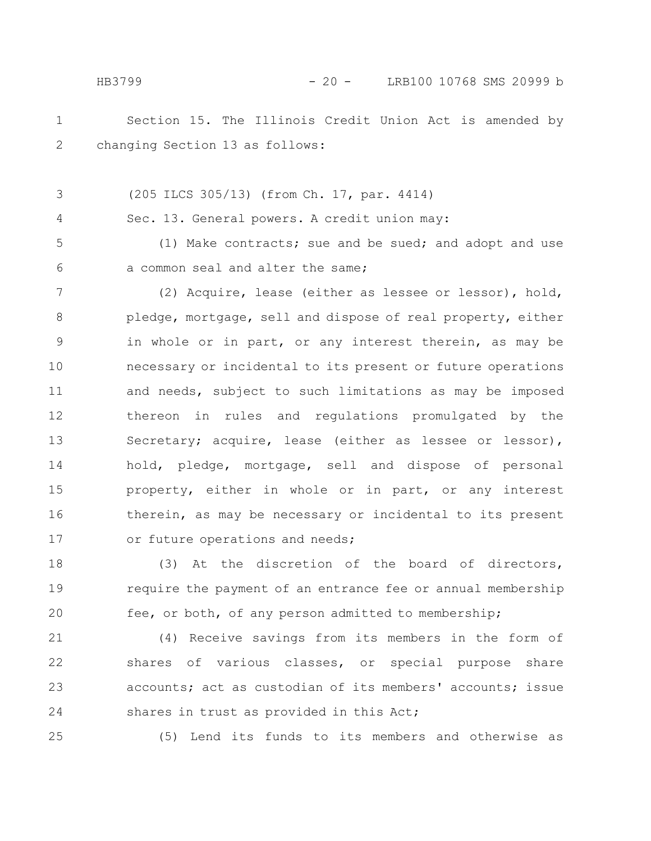Section 15. The Illinois Credit Union Act is amended by HB3799 - 20 - LRB100 10768 SMS 20999 b

1 2

4

(205 ILCS 305/13) (from Ch. 17, par. 4414) 3

changing Section 13 as follows:

Sec. 13. General powers. A credit union may:

(1) Make contracts; sue and be sued; and adopt and use a common seal and alter the same; 5 6

(2) Acquire, lease (either as lessee or lessor), hold, pledge, mortgage, sell and dispose of real property, either in whole or in part, or any interest therein, as may be necessary or incidental to its present or future operations and needs, subject to such limitations as may be imposed thereon in rules and regulations promulgated by the Secretary; acquire, lease (either as lessee or lessor), hold, pledge, mortgage, sell and dispose of personal property, either in whole or in part, or any interest therein, as may be necessary or incidental to its present or future operations and needs; 7 8 9 10 11 12 13 14 15 16 17

(3) At the discretion of the board of directors, require the payment of an entrance fee or annual membership fee, or both, of any person admitted to membership; 18 19 20

(4) Receive savings from its members in the form of shares of various classes, or special purpose share accounts; act as custodian of its members' accounts; issue shares in trust as provided in this Act; 21 22 23 24

25

(5) Lend its funds to its members and otherwise as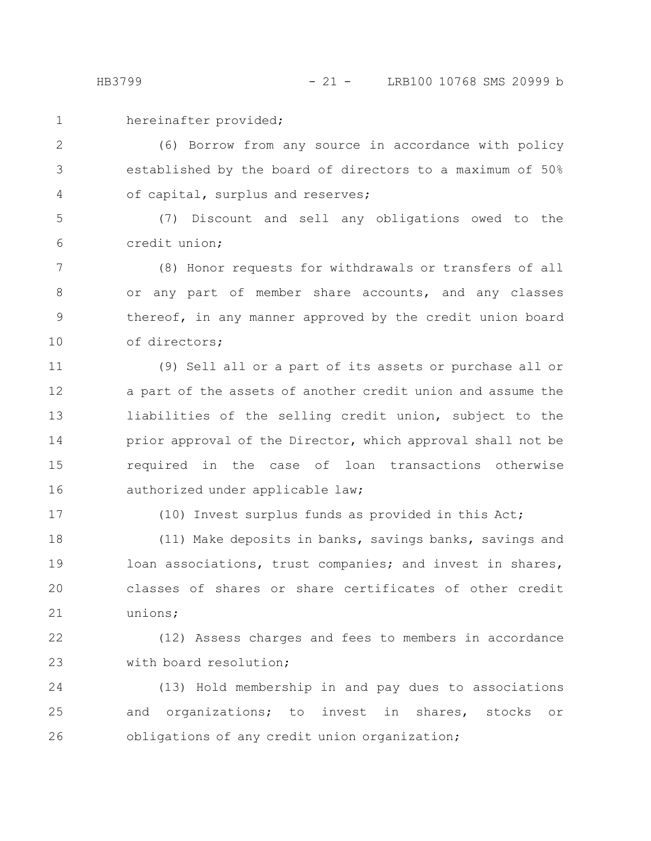hereinafter provided;

(6) Borrow from any source in accordance with policy established by the board of directors to a maximum of 50% of capital, surplus and reserves; 2 3 4

(7) Discount and sell any obligations owed to the credit union; 5 6

(8) Honor requests for withdrawals or transfers of all or any part of member share accounts, and any classes thereof, in any manner approved by the credit union board of directors; 7 8 9 10

(9) Sell all or a part of its assets or purchase all or a part of the assets of another credit union and assume the liabilities of the selling credit union, subject to the prior approval of the Director, which approval shall not be required in the case of loan transactions otherwise authorized under applicable law; 11 12 13 14 15 16

17

(10) Invest surplus funds as provided in this Act;

(11) Make deposits in banks, savings banks, savings and loan associations, trust companies; and invest in shares, classes of shares or share certificates of other credit unions; 18 19 20 21

(12) Assess charges and fees to members in accordance with board resolution; 22 23

(13) Hold membership in and pay dues to associations and organizations; to invest in shares, stocks or obligations of any credit union organization; 24 25 26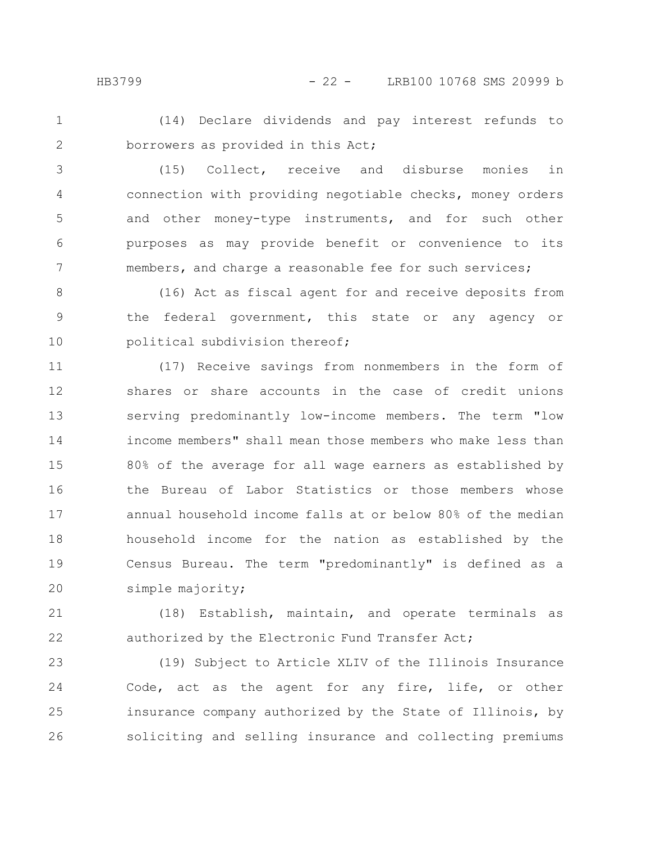(14) Declare dividends and pay interest refunds to borrowers as provided in this Act; 1 2

(15) Collect, receive and disburse monies in connection with providing negotiable checks, money orders and other money-type instruments, and for such other purposes as may provide benefit or convenience to its members, and charge a reasonable fee for such services; 3 4 5 6 7

(16) Act as fiscal agent for and receive deposits from the federal government, this state or any agency or political subdivision thereof; 8 9 10

(17) Receive savings from nonmembers in the form of shares or share accounts in the case of credit unions serving predominantly low-income members. The term "low income members" shall mean those members who make less than 80% of the average for all wage earners as established by the Bureau of Labor Statistics or those members whose annual household income falls at or below 80% of the median household income for the nation as established by the Census Bureau. The term "predominantly" is defined as a simple majority; 11 12 13 14 15 16 17 18 19 20

(18) Establish, maintain, and operate terminals as authorized by the Electronic Fund Transfer Act; 21 22

(19) Subject to Article XLIV of the Illinois Insurance Code, act as the agent for any fire, life, or other insurance company authorized by the State of Illinois, by soliciting and selling insurance and collecting premiums 23 24 25 26